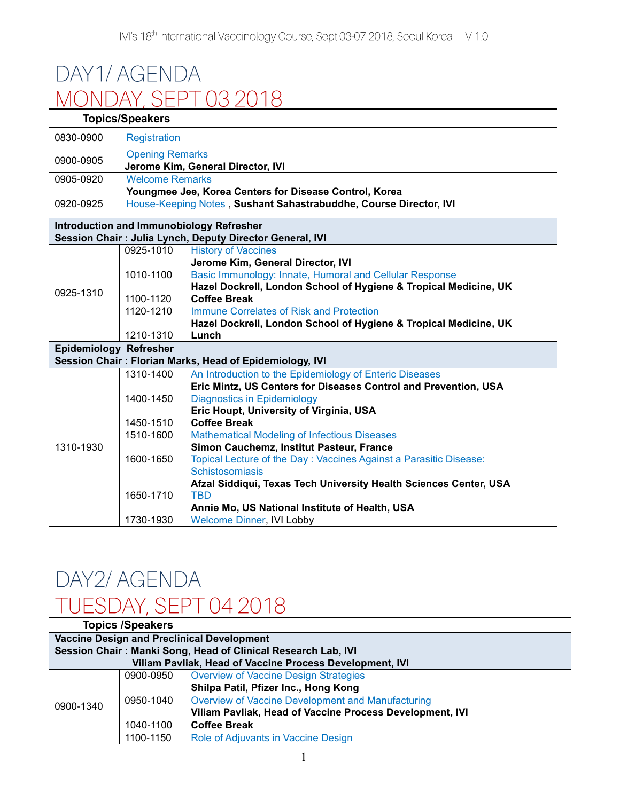## DAY1/AGENDA MONDAY, SEPT 03 2018

| <b>Topics/Speakers</b>        |                                                             |                                                                   |  |  |
|-------------------------------|-------------------------------------------------------------|-------------------------------------------------------------------|--|--|
| 0830-0900                     | <b>Registration</b>                                         |                                                                   |  |  |
| 0900-0905                     | <b>Opening Remarks</b><br>Jerome Kim, General Director, IVI |                                                                   |  |  |
| 0905-0920                     | <b>Welcome Remarks</b>                                      |                                                                   |  |  |
|                               |                                                             | Youngmee Jee, Korea Centers for Disease Control, Korea            |  |  |
| 0920-0925                     |                                                             | House-Keeping Notes, Sushant Sahastrabuddhe, Course Director, IVI |  |  |
|                               |                                                             | <b>Introduction and Immunobiology Refresher</b>                   |  |  |
|                               |                                                             | Session Chair: Julia Lynch, Deputy Director General, IVI          |  |  |
|                               | 0925-1010                                                   | <b>History of Vaccines</b>                                        |  |  |
|                               |                                                             | Jerome Kim, General Director, IVI                                 |  |  |
|                               | 1010-1100                                                   | Basic Immunology: Innate, Humoral and Cellular Response           |  |  |
| 0925-1310                     |                                                             | Hazel Dockrell, London School of Hygiene & Tropical Medicine, UK  |  |  |
|                               | 1100-1120                                                   | <b>Coffee Break</b>                                               |  |  |
|                               | 1120-1210                                                   | Immune Correlates of Risk and Protection                          |  |  |
|                               |                                                             | Hazel Dockrell, London School of Hygiene & Tropical Medicine, UK  |  |  |
|                               | 1210-1310                                                   | Lunch                                                             |  |  |
| <b>Epidemiology Refresher</b> |                                                             |                                                                   |  |  |
|                               |                                                             | Session Chair: Florian Marks, Head of Epidemiology, IVI           |  |  |
|                               | 1310-1400                                                   | An Introduction to the Epidemiology of Enteric Diseases           |  |  |
|                               |                                                             | Eric Mintz, US Centers for Diseases Control and Prevention, USA   |  |  |
|                               | 1400-1450                                                   | <b>Diagnostics in Epidemiology</b>                                |  |  |
|                               |                                                             | Eric Houpt, University of Virginia, USA                           |  |  |
|                               | 1450-1510                                                   | <b>Coffee Break</b>                                               |  |  |
|                               | 1510-1600                                                   | <b>Mathematical Modeling of Infectious Diseases</b>               |  |  |
| 1310-1930                     |                                                             | Simon Cauchemz, Institut Pasteur, France                          |  |  |
|                               | 1600-1650                                                   | Topical Lecture of the Day: Vaccines Against a Parasitic Disease: |  |  |
|                               |                                                             | Schistosomiasis                                                   |  |  |
|                               |                                                             | Afzal Siddiqui, Texas Tech University Health Sciences Center, USA |  |  |
|                               | 1650-1710                                                   | <b>TBD</b>                                                        |  |  |
|                               |                                                             | Annie Mo, US National Institute of Health, USA                    |  |  |
|                               | 1730-1930                                                   | <b>Welcome Dinner, IVI Lobby</b>                                  |  |  |

## DAY2/ AGENDA TUESDAY SEPT 04 2018

| <b>Topics /Speakers</b>                                       |           |                                                          |  |  |
|---------------------------------------------------------------|-----------|----------------------------------------------------------|--|--|
| <b>Vaccine Design and Preclinical Development</b>             |           |                                                          |  |  |
| Session Chair: Manki Song, Head of Clinical Research Lab, IVI |           |                                                          |  |  |
| Viliam Pavliak, Head of Vaccine Process Development, IVI      |           |                                                          |  |  |
| 0900-1340                                                     | 0900-0950 | <b>Overview of Vaccine Design Strategies</b>             |  |  |
|                                                               |           | Shilpa Patil, Pfizer Inc., Hong Kong                     |  |  |
|                                                               | 0950-1040 | Overview of Vaccine Development and Manufacturing        |  |  |
|                                                               |           | Viliam Pavliak, Head of Vaccine Process Development, IVI |  |  |
|                                                               | 1040-1100 | <b>Coffee Break</b>                                      |  |  |
|                                                               | 1100-1150 | Role of Adjuvants in Vaccine Design                      |  |  |
|                                                               |           |                                                          |  |  |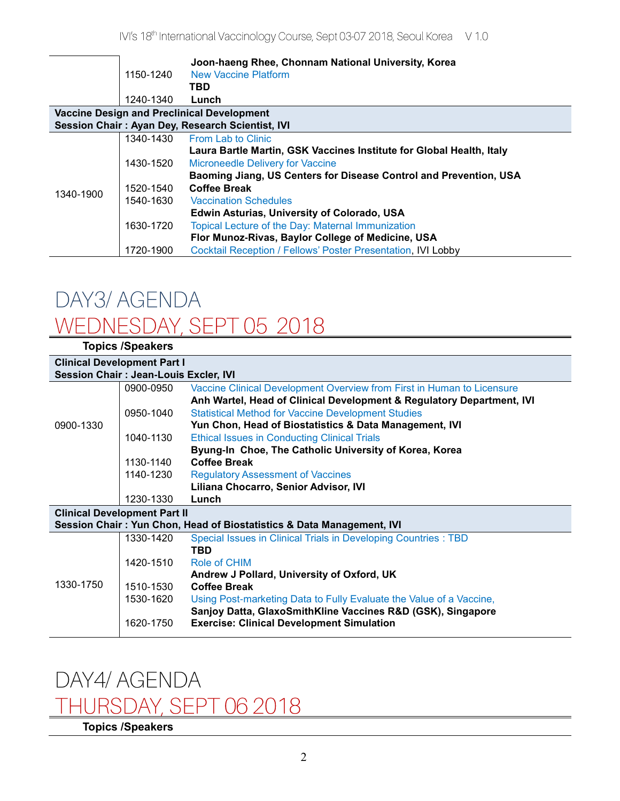|                                                   |           | Joon-haeng Rhee, Chonnam National University, Korea                  |  |  |
|---------------------------------------------------|-----------|----------------------------------------------------------------------|--|--|
|                                                   | 1150-1240 | <b>New Vaccine Platform</b>                                          |  |  |
|                                                   |           | TBD                                                                  |  |  |
|                                                   | 1240-1340 | Lunch                                                                |  |  |
| <b>Vaccine Design and Preclinical Development</b> |           |                                                                      |  |  |
| Session Chair: Ayan Dey, Research Scientist, IVI  |           |                                                                      |  |  |
| 1340-1900                                         | 1340-1430 | From Lab to Clinic                                                   |  |  |
|                                                   |           | Laura Bartle Martin, GSK Vaccines Institute for Global Health, Italy |  |  |
|                                                   | 1430-1520 | <b>Microneedle Delivery for Vaccine</b>                              |  |  |
|                                                   |           | Baoming Jiang, US Centers for Disease Control and Prevention, USA    |  |  |
|                                                   | 1520-1540 | <b>Coffee Break</b>                                                  |  |  |
|                                                   | 1540-1630 | <b>Vaccination Schedules</b>                                         |  |  |
|                                                   |           | Edwin Asturias, University of Colorado, USA                          |  |  |
|                                                   | 1630-1720 | Topical Lecture of the Day: Maternal Immunization                    |  |  |
|                                                   |           | Flor Munoz-Rivas, Baylor College of Medicine, USA                    |  |  |
|                                                   | 1720-1900 | <b>Cocktail Reception / Fellows' Poster Presentation, IVI Lobby</b>  |  |  |

### DAY3/ AGENDA WEDNESDAY, SEPT 05 2018 **Topics /Speakers**

| <b>IUPILS ISPEANERS</b>                      |           |                                                                        |  |  |  |
|----------------------------------------------|-----------|------------------------------------------------------------------------|--|--|--|
| <b>Clinical Development Part I</b>           |           |                                                                        |  |  |  |
| <b>Session Chair: Jean-Louis Excler, IVI</b> |           |                                                                        |  |  |  |
|                                              | 0900-0950 | Vaccine Clinical Development Overview from First in Human to Licensure |  |  |  |
| 0900-1330                                    |           | Anh Wartel, Head of Clinical Development & Regulatory Department, IVI  |  |  |  |
|                                              | 0950-1040 | <b>Statistical Method for Vaccine Development Studies</b>              |  |  |  |
|                                              |           | Yun Chon, Head of Biostatistics & Data Management, IVI                 |  |  |  |
|                                              | 1040-1130 | <b>Ethical Issues in Conducting Clinical Trials</b>                    |  |  |  |
|                                              |           | Byung-In Choe, The Catholic University of Korea, Korea                 |  |  |  |
|                                              | 1130-1140 | <b>Coffee Break</b>                                                    |  |  |  |
|                                              | 1140-1230 | <b>Regulatory Assessment of Vaccines</b>                               |  |  |  |
|                                              |           | Liliana Chocarro, Senior Advisor, IVI                                  |  |  |  |
|                                              | 1230-1330 | Lunch                                                                  |  |  |  |
| <b>Clinical Development Part II</b>          |           |                                                                        |  |  |  |
|                                              |           | Session Chair: Yun Chon, Head of Biostatistics & Data Management, IVI  |  |  |  |
|                                              | 1330-1420 |                                                                        |  |  |  |
|                                              |           | Special Issues in Clinical Trials in Developing Countries : TBD        |  |  |  |
|                                              |           | TBD                                                                    |  |  |  |
|                                              | 1420-1510 | Role of CHIM                                                           |  |  |  |
|                                              |           | Andrew J Pollard, University of Oxford, UK                             |  |  |  |
| 1330-1750                                    | 1510-1530 | <b>Coffee Break</b>                                                    |  |  |  |
|                                              | 1530-1620 | Using Post-marketing Data to Fully Evaluate the Value of a Vaccine,    |  |  |  |
|                                              |           | Sanjoy Datta, GlaxoSmithKline Vaccines R&D (GSK), Singapore            |  |  |  |
|                                              | 1620-1750 | <b>Exercise: Clinical Development Simulation</b>                       |  |  |  |

# DAY4/ AGENDA

## THURSDAY, SEPT 06 2018

**Topics /Speakers**